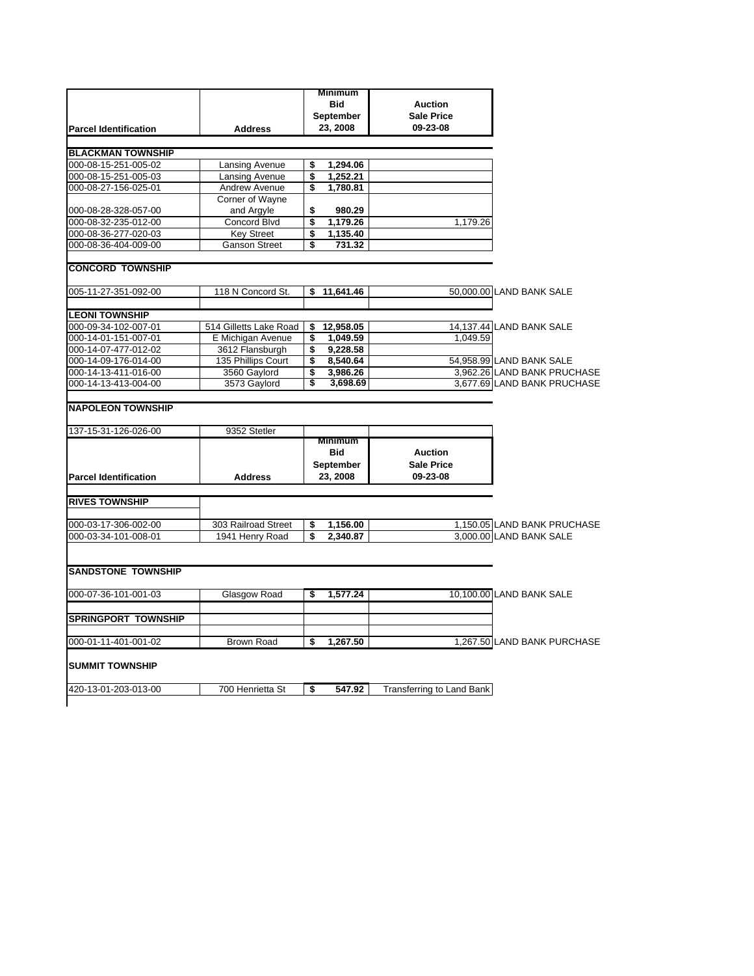|                                                  |                        | <b>Minimum</b>  |                           |                             |
|--------------------------------------------------|------------------------|-----------------|---------------------------|-----------------------------|
|                                                  |                        | <b>Bid</b>      | <b>Auction</b>            |                             |
|                                                  |                        | September       | <b>Sale Price</b>         |                             |
| <b>Parcel Identification</b>                     |                        | 23, 2008        | 09-23-08                  |                             |
|                                                  | <b>Address</b>         |                 |                           |                             |
|                                                  |                        |                 |                           |                             |
| <b>BLACKMAN TOWNSHIP</b>                         |                        |                 |                           |                             |
| 000-08-15-251-005-02                             | Lansing Avenue         | \$<br>1,294.06  |                           |                             |
| 000-08-15-251-005-03                             | Lansing Avenue         | \$<br>1,252.21  |                           |                             |
| 000-08-27-156-025-01                             | Andrew Avenue          | \$<br>1,780.81  |                           |                             |
|                                                  | Corner of Wayne        |                 |                           |                             |
| 000-08-28-328-057-00                             | and Argyle             | \$<br>980.29    |                           |                             |
| 000-08-32-235-012-00                             | Concord Blvd           | \$<br>1,179.26  | 1,179.26                  |                             |
| 000-08-36-277-020-03                             | <b>Key Street</b>      | \$<br>1,135.40  |                           |                             |
| 000-08-36-404-009-00                             | <b>Ganson Street</b>   | \$<br>731.32    |                           |                             |
| <b>CONCORD TOWNSHIP</b>                          |                        |                 |                           |                             |
|                                                  |                        |                 |                           |                             |
| 005-11-27-351-092-00                             | 118 N Concord St.      | \$<br>11,641.46 |                           | 50,000.00 LAND BANK SALE    |
|                                                  |                        |                 |                           |                             |
| <b>LEONI TOWNSHIP</b>                            |                        |                 |                           |                             |
| 000-09-34-102-007-01                             | 514 Gilletts Lake Road | \$<br>12,958.05 |                           | 14,137.44 LAND BANK SALE    |
| 000-14-01-151-007-01                             | E Michigan Avenue      | \$<br>1,049.59  | 1,049.59                  |                             |
| 000-14-07-477-012-02                             | 3612 Flansburgh        | \$<br>9,228.58  |                           |                             |
| 000-14-09-176-014-00                             | 135 Phillips Court     | \$<br>8,540.64  |                           | 54,958.99 LAND BANK SALE    |
| 000-14-13-411-016-00                             | 3560 Gaylord           | \$<br>3,986.26  |                           | 3,962.26 LAND BANK PRUCHASE |
| 000-14-13-413-004-00                             | 3573 Gaylord           | \$<br>3,698.69  |                           | 3,677.69 LAND BANK PRUCHASE |
| <b>NAPOLEON TOWNSHIP</b><br>137-15-31-126-026-00 | 9352 Stetler           | <b>Minimum</b>  |                           |                             |
|                                                  |                        | <b>Bid</b>      | <b>Auction</b>            |                             |
|                                                  |                        | September       | <b>Sale Price</b>         |                             |
| <b>Parcel Identification</b>                     | <b>Address</b>         | 23, 2008        | 09-23-08                  |                             |
|                                                  |                        |                 |                           |                             |
| <b>RIVES TOWNSHIP</b>                            |                        |                 |                           |                             |
| 000-03-17-306-002-00                             | 303 Railroad Street    | \$<br>1,156.00  |                           | 1,150.05 LAND BANK PRUCHASE |
| 000-03-34-101-008-01                             | 1941 Henry Road        | \$<br>2,340.87  |                           | 3,000.00 LAND BANK SALE     |
|                                                  |                        |                 |                           |                             |
| <b>SANDSTONE TOWNSHIP</b>                        |                        |                 |                           |                             |
| 000-07-36-101-001-03                             | Glasgow Road           | \$<br>1.577.24  |                           | 10.100.00 LAND BANK SALE    |
|                                                  |                        |                 |                           |                             |
| <b>SPRINGPORT TOWNSHIP</b>                       |                        |                 |                           |                             |
|                                                  |                        |                 |                           |                             |
| 000-01-11-401-001-02                             | <b>Brown Road</b>      | \$<br>1.267.50  |                           | 1,267.50 LAND BANK PURCHASE |
| <b>SUMMIT TOWNSHIP</b>                           |                        |                 |                           |                             |
|                                                  |                        |                 |                           |                             |
| 420-13-01-203-013-00                             | 700 Henrietta St       | \$<br>547.92    | Transferring to Land Bank |                             |
|                                                  |                        |                 |                           |                             |